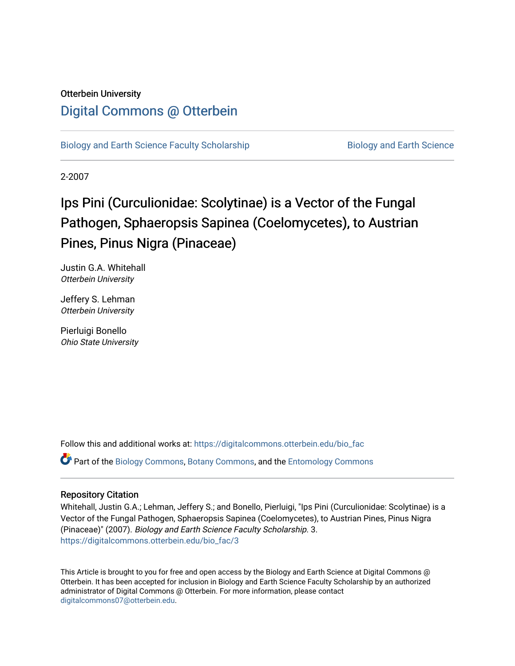## Otterbein University [Digital Commons @ Otterbein](https://digitalcommons.otterbein.edu/)

[Biology and Earth Science Faculty Scholarship](https://digitalcommons.otterbein.edu/bio_fac) Biology and Earth Science

2-2007

# Ips Pini (Curculionidae: Scolytinae) is a Vector of the Fungal Pathogen, Sphaeropsis Sapinea (Coelomycetes), to Austrian Pines, Pinus Nigra (Pinaceae)

Justin G.A. Whitehall Otterbein University

Jeffery S. Lehman Otterbein University

Pierluigi Bonello Ohio State University

Follow this and additional works at: [https://digitalcommons.otterbein.edu/bio\\_fac](https://digitalcommons.otterbein.edu/bio_fac?utm_source=digitalcommons.otterbein.edu%2Fbio_fac%2F3&utm_medium=PDF&utm_campaign=PDFCoverPages)

Part of the [Biology Commons,](http://network.bepress.com/hgg/discipline/41?utm_source=digitalcommons.otterbein.edu%2Fbio_fac%2F3&utm_medium=PDF&utm_campaign=PDFCoverPages) [Botany Commons,](http://network.bepress.com/hgg/discipline/104?utm_source=digitalcommons.otterbein.edu%2Fbio_fac%2F3&utm_medium=PDF&utm_campaign=PDFCoverPages) and the [Entomology Commons](http://network.bepress.com/hgg/discipline/83?utm_source=digitalcommons.otterbein.edu%2Fbio_fac%2F3&utm_medium=PDF&utm_campaign=PDFCoverPages)

### Repository Citation

Whitehall, Justin G.A.; Lehman, Jeffery S.; and Bonello, Pierluigi, "Ips Pini (Curculionidae: Scolytinae) is a Vector of the Fungal Pathogen, Sphaeropsis Sapinea (Coelomycetes), to Austrian Pines, Pinus Nigra (Pinaceae)" (2007). Biology and Earth Science Faculty Scholarship. 3. [https://digitalcommons.otterbein.edu/bio\\_fac/3](https://digitalcommons.otterbein.edu/bio_fac/3?utm_source=digitalcommons.otterbein.edu%2Fbio_fac%2F3&utm_medium=PDF&utm_campaign=PDFCoverPages)

This Article is brought to you for free and open access by the Biology and Earth Science at Digital Commons @ Otterbein. It has been accepted for inclusion in Biology and Earth Science Faculty Scholarship by an authorized administrator of Digital Commons @ Otterbein. For more information, please contact [digitalcommons07@otterbein.edu](mailto:digitalcommons07@otterbein.edu).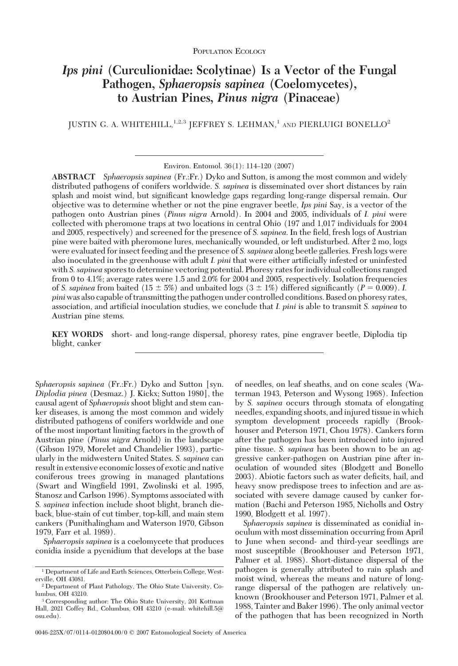## *Ips pini* **(Curculionidae: Scolytinae) Is a Vector of the Fungal Pathogen,** *Sphaeropsis sapinea* **(Coelomycetes), to Austrian Pines,** *Pinus nigra* **(Pinaceae)**

JUSTIN G. A. WHITEHILL, <sup>1,2,3</sup> JEFFREY S. LEHMAN,<sup>1</sup> AND PIERLUIGI BONELLO<sup>2</sup>

Environ. Entomol. 36(1): 114-120 (2007)

**ABSTRACT** *Sphaeropsis sapinea* (Fr.:Fr.) Dyko and Sutton, is among the most common and widely distributed pathogens of conifers worldwide. *S. sapinea* is disseminated over short distances by rain splash and moist wind, but significant knowledge gaps regarding long-range dispersal remain. Our objective was to determine whether or not the pine engraver beetle, *Ips pini* Say, is a vector of the pathogen onto Austrian pines (*Pinus nigra* Arnold). In 2004 and 2005, individuals of *I. pini* were collected with pheromone traps at two locations in central Ohio (197 and 1,017 individuals for 2004 and 2005, respectively) and screened for the presence of *S. sapinea*. In the field, fresh logs of Austrian pine were baited with pheromone lures, mechanically wounded, or left undisturbed. After 2 mo, logs were evaluated for insect feeding and the presence of *S. sapinea* along beetle galleries. Fresh logs were also inoculated in the greenhouse with adult *I. pini* that were either artificially infested or uninfested with *S. sapinea* spores to determine vectoring potential. Phoresy rates for individual collections ranged from 0 to 4.1%; average rates were 1.5 and 2.0% for 2004 and 2005, respectively. Isolation frequencies of *S. sapinea* from baited (15  $\pm$  5%) and unbaited logs (3  $\pm$  1%) differed significantly (*P* = 0.009). *I. pini*was also capable of transmitting the pathogen under controlled conditions. Based on phoresy rates, association, and artificial inoculation studies, we conclude that *I. pini* is able to transmit *S. sapinea* to Austrian pine stems.

**KEY WORDS** short- and long-range dispersal, phoresy rates, pine engraver beetle, Diplodia tip blight, canker

*Sphaeropsis sapinea* (Fr.:Fr.) Dyko and Sutton [syn. *Diplodia pinea* (Desmaz.) J. Kickx; Sutton 1980], the causal agent of *Sphaeropsis* shoot blight and stem canker diseases, is among the most common and widely distributed pathogens of conifers worldwide and one of the most important limiting factors in the growth of Austrian pine (*Pinus nigra* Arnold) in the landscape (Gibson 1979, Morelet and Chandelier 1993), particularly in the midwestern United States. *S. sapinea* can result in extensive economic losses of exotic and native coniferous trees growing in managed plantations (Swart and Wingfield 1991, Zwolinski et al. 1995, Stanosz and Carlson 1996). Symptoms associated with *S. sapinea* infection include shoot blight, branch dieback, blue-stain of cut timber, top-kill, and main stem cankers (Punithalingham and Waterson 1970, Gibson 1979, Farr et al. 1989).

*Sphaeropsis sapinea* is a coelomycete that produces conidia inside a pycnidium that develops at the base of needles, on leaf sheaths, and on cone scales (Waterman 1943, Peterson and Wysong 1968). Infection by *S. sapinea* occurs through stomata of elongating needles, expanding shoots, and injured tissue in which symptom development proceeds rapidly (Brookhouser and Peterson 1971, Chou 1978). Cankers form after the pathogen has been introduced into injured pine tissue. *S. sapinea* has been shown to be an aggressive canker-pathogen on Austrian pine after inoculation of wounded sites (Blodgett and Bonello 2003). Abiotic factors such as water deficits, hail, and heavy snow predispose trees to infection and are associated with severe damage caused by canker formation (Bachi and Peterson 1985, Nicholls and Ostry 1990, Blodgett et al. 1997).

*Sphaeropsis sapinea* is disseminated as conidial inoculum with most dissemination occurring from April to June when second- and third-year seedlings are most susceptible (Brookhouser and Peterson 1971, Palmer et al. 1988). Short-distance dispersal of the pathogen is generally attributed to rain splash and moist wind, whereas the means and nature of longrange dispersal of the pathogen are relatively unknown (Brookhouser and Peterson 1971, Palmer et al. 1988, Tainter and Baker 1996). The only animal vector of the pathogen that has been recognized in North

<sup>1</sup> Department of Life and Earth Sciences, Otterbein College, Westerville, OH 43081.

<sup>2</sup> Department of Plant Pathology, The Ohio State University, Columbus, OH 43210.

<sup>3</sup> Corresponding author: The Ohio State University, 201 Kottman Hall, 2021 Coffey Rd., Columbus, OH 43210 (e-mail: whitehill.5@ osu.edu).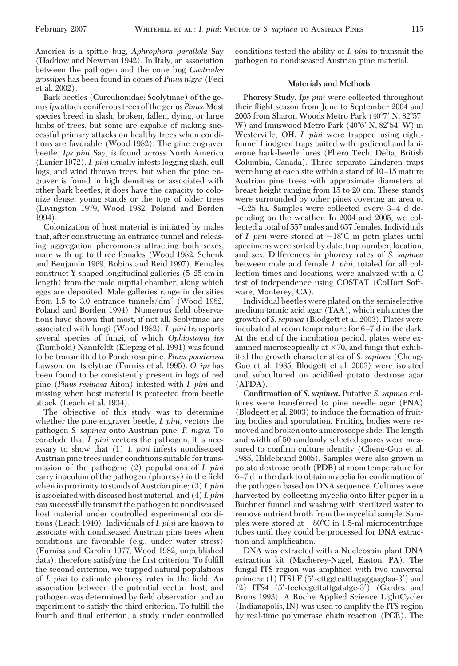America is a spittle bug, *Aphrophora parallela* Say (Haddow and Newman 1942). In Italy, an association between the pathogen and the cone bug *Gastrodes grossipes* has been found in cones of *Pinus nigra* (Feci et al. 2002).

Bark beetles (Curculionidae: Scolytinae) of the genus*Ips* attack coniferous trees of the genus *Pinus.*Most species breed in slash, broken, fallen, dying, or large limbs of trees, but some are capable of making successful primary attacks on healthy trees when conditions are favorable (Wood 1982). The pine engraver beetle, *Ips pini* Say, is found across North America (Lanier 1972). *I. pini* usually infests logging slash, cull logs, and wind thrown trees, but when the pine engraver is found in high densities or associated with other bark beetles, it does have the capacity to colonize dense, young stands or the tops of older trees (Livingston 1979, Wood 1982, Poland and Borden 1994).

Colonization of host material is initiated by males that, after constructing an entrance tunnel and releasing aggregation pheromones attracting both sexes, mate with up to three females (Wood 1982, Schenk and Benjamin 1969, Robins and Reid 1997). Females construct Y-shaped longitudinal galleries (5-25 cm in length) from the male nuptial chamber, along which eggs are deposited. Male galleries range in densities from 1.5 to 3.0 entrance tunnels/ $dm^2$  (Wood 1982, Poland and Borden 1994). Numerous field observations have shown that most, if not all, Scolytinae are associated with fungi (Wood 1982). *I. pini* transports several species of fungi, of which *Ophiostoma ips* (Rumbold) Nannfeldt (Klepzig et al. 1991) was found to be transmitted to Ponderosa pine, *Pinus ponderosa* Lawson, on its elytrae (Furniss et al. 1995). *O. ips* has been found to be consistently present in logs of red pine (*Pinus resinosa* Aiton) infested with *I. pini* and missing when host material is protected from beetle attack (Leach et al. 1934).

The objective of this study was to determine whether the pine engraver beetle, *I. pini,* vectors the pathogen *S. sapinea* onto Austrian pine, *P. nigra.* To conclude that *I. pini* vectors the pathogen, it is necessary to show that (1) *I. pini* infests nondiseased Austrian pine trees under conditions suitable for transmission of the pathogen; (2) populations of *I. pini* carry inoculum of the pathogen (phoresy) in the field when in proximity to stands of Austrian pine; (3) *I. pini* is associated with diseased host material; and (4) *I. pini* can successfully transmit the pathogen to nondiseased host material under controlled experimental conditions (Leach 1940). Individuals of *I. pini* are known to associate with nondiseased Austrian pine trees when conditions are favorable (e.g., under water stress) (Furniss and Carolin 1977, Wood 1982, unpublished data), therefore satisfying the first criterion. To fulfill the second criterion, we trapped natural populations of *I. pini* to estimate phoresy rates in the field. An association between the potential vector, host, and pathogen was determined by field observation and an experiment to satisfy the third criterion. To fulfill the fourth and final criterion, a study under controlled conditions tested the ability of *I. pini* to transmit the pathogen to nondiseased Austrian pine material.

#### **Materials and Methods**

**Phoresy Study.** *Ips pini* were collected throughout their ßight season from June to September 2004 and 2005 from Sharon Woods Metro Park (40°7' N, 82°57' W) and Inniswood Metro Park  $(40^{\circ}6' \text{ N}, 82^{\circ}54' \text{ W})$  in Westerville, OH. *I. pini* were trapped using eightfunnel Lindgren traps baited with ipsdienol and lanierone bark-beetle lures (Phero Tech, Delta, British Columbia, Canada). Three separate Lindgren traps were hung at each site within a stand of 10-15 mature Austrian pine trees with approximate diameters at breast height ranging from 15 to 20 cm. These stands were surrounded by other pines covering an area of  $\sim$ 0.25 ha. Samples were collected every 3–4 d depending on the weather. In 2004 and 2005, we collected a total of 557 males and 657 females. Individuals of *I. pini* were stored at  $-18^{\circ}$ C in petri plates until specimens were sorted by date, trap number, location, and sex. Differences in phoresy rates of *S. sapinea* between male and female *I. pini,* totaled for all collection times and locations, were analyzed with a *G* test of independence using COSTAT (CoHort Software, Monterey, CA).

Individual beetles were plated on the semiselective medium tannic acid agar (TAA), which enhances the growth of *S. sapinea* (Blodgett et al. 2003). Plates were incubated at room temperature for 6-7 d in the dark. At the end of the incubation period, plates were examined microscopically at  $\times 70$ , and fungi that exhibited the growth characteristics of *S. sapinea* (Cheng-Guo et al. 1985, Blodgett et al. 2003) were isolated and subcultured on acidified potato dextrose agar (APDA).

**Confirmation of** *S. sapinea***.** Putative *S. sapinea* cultures were transferred to pine needle agar (PNA) (Blodgett et al. 2003) to induce the formation of fruiting bodies and sporulation. Fruiting bodies were removed and broken onto a microscope slide. The length and width of 50 randomly selected spores were measured to confirm culture identity (Cheng-Guo et al. 1985, Hildebrand 2005). Samples were also grown in potato dextrose broth (PDB) at room temperature for 6-7 d in the dark to obtain mycelia for confirmation of the pathogen based on DNA sequence. Cultures were harvested by collecting mycelia onto filter paper in a Buchner funnel and washing with sterilized water to remove nutrient broth from the mycelial sample. Samples were stored at  $-80^{\circ}$ C in 1.5-ml microcentrifuge tubes until they could be processed for DNA extraction and amplification.

DNA was extracted with a Nucleospin plant DNA extraction kit (Macherey-Nagel, Easton, PA). The fungal ITS region was amplified with two universal primers: (1) ITS1 F (5-cttggtcatttagaggaagtaa-3) and (2) ITS4 (5-tcctccgcttattgatatgc-3) (Gardes and Bruns 1993). A Roche Applied Science LightCycler (Indianapolis, IN) was used to amplify the ITS region by real-time polymerase chain reaction (PCR). The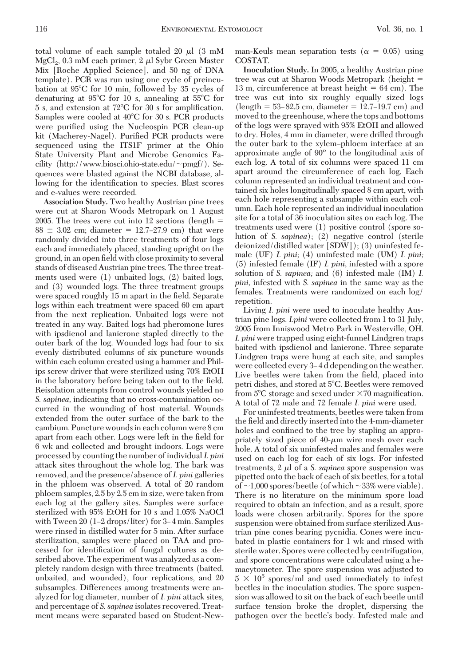total volume of each sample totaled 20  $\mu$ l (3 mM  $MgCl<sub>2</sub>$ , 0.3 mM each primer, 2  $\mu$ l Sybr Green Master Mix [Roche Applied Science], and 50 ng of DNA template). PCR was run using one cycle of preincubation at 95C for 10 min, followed by 35 cycles of denaturing at 95C for 10 s, annealing at 55C for  $5$  s, and extension at  $72^{\circ}$ C for 30 s for amplification. Samples were cooled at  $40^{\circ}$ C for 30 s. PCR products were purified using the Nucleospin PCR clean-up kit (Macherey-Nagel). Purified PCR products were sequenced using the ITS1F primer at the Ohio State University Plant and Microbe Genomics Facility (http://www.biosci.ohio-state.edu/ $\sim$ pmgf/). Sequences were blasted against the NCBI database, allowing for the identification to species. Blast scores and e-values were recorded.

**Association Study.** Two healthy Austrian pine trees were cut at Sharon Woods Metropark on 1 August 2005. The trees were cut into 12 sections (length  $=$  $88 \pm 3.02$  cm; diameter = 12.7–27.9 cm) that were randomly divided into three treatments of four logs each and immediately placed, standing upright on the ground, in an open field with close proximity to several stands of diseased Austrian pine trees. The three treatments used were (1) unbaited logs, (2) baited logs, and (3) wounded logs. The three treatment groups were spaced roughly 15 m apart in the field. Separate logs within each treatment were spaced 60 cm apart from the next replication. Unbaited logs were not treated in any way. Baited logs had pheromone lures with ipsdienol and lanierone stapled directly to the outer bark of the log. Wounded logs had four to six evenly distributed columns of six puncture wounds within each column created using a hammer and Philips screw driver that were sterilized using 70% EtOH in the laboratory before being taken out to the field. Reisolation attempts from control wounds yielded no *S. sapinea,* indicating that no cross-contamination occurred in the wounding of host material. Wounds extended from the outer surface of the bark to the cambium. Puncture woundsin each column were 8 cm apart from each other. Logs were left in the field for 6 wk and collected and brought indoors. Logs were processed by counting the number of individual*I. pini* attack sites throughout the whole log. The bark was removed, and the presence/absence of*I. pini* galleries in the phloem was observed. A total of 20 random phloem samples, 2.5 by 2.5 cm in size, were taken from each log at the gallery sites. Samples were surface sterilized with 95% EtOH for 10 s and 1.05% NaOCl with Tween  $20$  (1–2 drops/liter) for 3–4 min. Samples were rinsed in distilled water for 5 min. After surface sterilization, samples were placed on TAA and processed for identification of fungal cultures as described above. The experiment was analyzed as a completely random design with three treatments (baited, unbaited, and wounded), four replications, and 20 subsamples. Differences among treatments were analyzed for log diameter, number of *I. pini* attack sites, and percentage of *S. sapinea* isolates recovered. Treatment means were separated based on Student-New-

man-Keuls mean separation tests ( $\alpha = 0.05$ ) using COSTAT.

**Inoculation Study.** In 2005, a healthy Austrian pine tree was cut at Sharon Woods Metropark (height = 13 m, circumference at breast height  $= 64$  cm). The tree was cut into six roughly equally sized logs  $(length = 53-82.5 cm, diameter = 12.7-19.7 cm)$  and moved to the greenhouse, where the tops and bottoms of the logs were sprayed with 95% EtOH and allowed to dry. Holes, 4 mm in diameter, were drilled through the outer bark to the xylem–phloem interface at an approximate angle of  $90^{\circ}$  to the longitudinal axis of each log. A total of six columns were spaced 11 cm apart around the circumference of each log. Each column represented an individual treatment and contained six holes longitudinally spaced 8 cm apart, with each hole representing a subsample within each column. Each hole represented an individual inoculation site for a total of 36 inoculation sites on each log. The treatments used were (1) positive control (spore solution of *S. sapinea*); (2) negative control (sterile deionized/distilled water [SDW]); (3) uninfested female (UF) *I. pini;* (4) uninfested male (UM) *I. pini;* (5) infested female (IF) *I. pini,* infested with a spore solution of *S. sapinea;* and (6) infested male (IM) *I. pini,* infested with *S. sapinea* in the same way as the females. Treatments were randomized on each log/ repetition.

Living *I. pini* were used to inoculate healthy Austrian pine logs. *I.pini* were collected from 1 to 31 July, 2005 from Inniswood Metro Park in Westerville, OH. *I. pini* were trapped using eight-funnel Lindgren traps baited with ipsdienol and lanierone. Three separate Lindgren traps were hung at each site, and samples were collected every 3–4 d depending on the weather. Live beetles were taken from the field, placed into petri dishes, and stored at 5°C. Beetles were removed from  $5^{\circ}$ C storage and sexed under  $\times 70$  magnification. A total of 72 male and 72 female *I. pini* were used.

For uninfested treatments, beetles were taken from the field and directly inserted into the 4-mm-diameter holes and confined to the tree by stapling an appropriately sized piece of  $40$ - $\mu$ m wire mesh over each hole. A total of six uninfested males and females were used on each log for each of six logs. For infested treatments,  $2 \mu l$  of a *S. sapinea* spore suspension was pipetted onto the back of each of six beetles, for a total of  $\sim$ 1,000 spores/beetle (of which  $\sim$ 33% were viable). There is no literature on the minimum spore load required to obtain an infection, and as a result, spore loads were chosen arbitrarily. Spores for the spore suspension were obtained from surface sterilized Austrian pine cones bearing pycnidia. Cones were incubated in plastic containers for 1 wk and rinsed with sterile water. Spores were collected by centrifugation, and spore concentrations were calculated using a hemacytometer. The spore suspension was adjusted to  $5 \times 10^5$  spores/ml and used immediately to infest beetles in the inoculation studies. The spore suspension was allowed to sit on the back of each beetle until surface tension broke the droplet, dispersing the pathogen over the beetle's body. Infested male and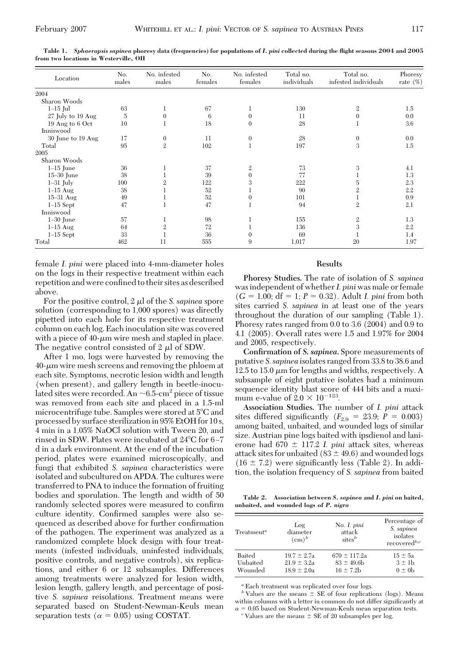| Location          | No.<br>males   | No. infested<br>males | No.<br>females | No. infested<br>females | Total no.<br>individuals | Total no.<br>infested individuals | Phoresy<br>rate $(\%)$ |
|-------------------|----------------|-----------------------|----------------|-------------------------|--------------------------|-----------------------------------|------------------------|
| 2004              |                |                       |                |                         |                          |                                   |                        |
| Sharon Woods      |                |                       |                |                         |                          |                                   |                        |
| $1-15$ Jul        | 63             | 1                     | 67             |                         | 130                      | $\mathbf{2}$                      | 1.5                    |
| 27 July to 19 Aug | $\overline{5}$ | $\Omega$              | 6              | $\Omega$                | 11                       | $\mathbf{0}$                      | 0.0                    |
| 19 Aug to 6 Oct   | 10             |                       | 18             | $\Omega$                | 28                       | 1                                 | 3.6                    |
| Inniswood         |                |                       |                |                         |                          |                                   |                        |
| 30 June to 19 Aug | 17             | $\theta$              | 11             | $\mathbf{0}$            | 28                       | $\mathbf{0}$                      | 0.0                    |
| Total             | 95             | $\mathfrak{2}$        | 102            | $\mathbf{1}$            | 197                      | 3                                 | 1.5                    |
| 2005              |                |                       |                |                         |                          |                                   |                        |
| Sharon Woods      |                |                       |                |                         |                          |                                   |                        |
| $1-15$ June       | 36             |                       | 37             | $\mathfrak{2}$          | 73                       | 3                                 | 4.1                    |
| $15-30$ June      | 38             |                       | 39             | $\Omega$                | 77                       |                                   | 1.3                    |
| $1-31$ July       | 100            | $\mathbf{2}$          | 122            | 3                       | 222                      | $\overline{5}$                    | 2.3                    |
| $1-15$ Aug        | 38             |                       | 52             |                         | 90                       | $\overline{2}$                    | 2.2                    |
| $15-31$ Aug       | 49             |                       | 52             | $\theta$                | 101                      | 1                                 | 0.9                    |
| $1-15$ Sept       | 47             |                       | 47             |                         | 94                       | $\overline{2}$                    | 2.1                    |
| Inniswood         |                |                       |                |                         |                          |                                   |                        |
| $1-30$ June       | 57             | 1                     | 98             | 1                       | 155                      | $\mathfrak{2}$                    | 1.3                    |
| $1-15$ Aug        | 64             | $\mathfrak{2}$        | 72             |                         | 136                      | 3                                 | 2.2                    |
| $1-15$ Sept       | 33             |                       | 36             | $\Omega$                | 69                       |                                   | 1.4                    |
| Total             | 462            | 11                    | 555            | 9                       | 1,017                    | 20                                | 1.97                   |

**Table 1.** *Sphaeropsis sapinea* **phoresy data (frequencies) for populations of** *I. pini* **collected during the flight seasons 2004 and 2005 from two locations in Westerville, OH**

female *I. pini* were placed into 4-mm-diameter holes on the logs in their respective treatment within each repetition and were confined to their sites as described above.

For the positive control,  $2 \mu l$  of the *S. sapinea* spore solution (corresponding to 1,000 spores) was directly pipetted into each hole for its respective treatment column on each log. Each inoculation site was covered with a piece of  $40$ - $\mu$ m wire mesh and stapled in place. The negative control consisted of  $2 \mu$  of SDW.

After 1 mo, logs were harvested by removing the  $40$ - $\mu$ m wire mesh screens and removing the phloem at each site. Symptoms, necrotic lesion width and length (when present), and gallery length in beetle-inoculated sites were recorded. An  $\sim$  6.5-cm<sup>2</sup> piece of tissue was removed from each site and placed in a 1.5-ml microcentrifuge tube. Samples were stored at 5°C and processed by surface sterilization in 95% EtOH for 10 s, 4 min in a 1.05% NaOCl solution with Tween 20, and rinsed in SDW. Plates were incubated at  $24^{\circ}$ C for 6-7 d in a dark environment. At the end of the incubation period, plates were examined microscopically, and fungi that exhibited *S. sapinea* characteristics were isolated and subcultured on APDA. The cultures were transferred to PNA to induce the formation of fruiting bodies and sporulation. The length and width of 50 randomly selected spores were measured to confirm culture identity. Confirmed samples were also sequenced as described above for further confirmation of the pathogen. The experiment was analyzed as a randomized complete block design with four treatments (infested individuals, uninfested individuals, positive controls, and negative controls), six replications, and either 6 or 12 subsamples. Differences among treatments were analyzed for lesion width, lesion length, gallery length, and percentage of positive *S. sapinea* reisolations. Treatment means were separated based on Student-Newman-Keuls mean separation tests ( $\alpha = 0.05$ ) using COSTAT.

#### **Results**

**Phoresy Studies.** The rate of isolation of *S. sapinea* was independent of whether *I. pini* was male or female  $(G = 1.00; df = 1; P = 0.32)$ . Adult *I. pini* from both sites carried *S. sapinea* in at least one of the years throughout the duration of our sampling (Table 1). Phoresy rates ranged from 0.0 to 3.6 (2004) and 0.9 to 4.1 (2005). Overall rates were 1.5 and 1.97% for 2004 and 2005, respectively.

**Confirmation of** *S. sapinea***.** Spore measurements of putative *S. sapinea* isolates ranged from 33.8 to 38.6 and 12.5 to 15.0  $\mu$ m for lengths and widths, respectively. A subsample of eight putative isolates had a minimum sequence identity blast score of 444 bits and a maximum e-value of  $2.0 \times 10^{-123}$ .

**Association Studies.** The number of *I. pini* attack sites differed significantly  $(F_{2,9} = 23.9; P = 0.003)$ among baited, unbaited, and wounded logs of similar size. Austrian pine logs baited with ipsdienol and lanierone had  $670 \pm 117.2$  *I. pini* attack sites, whereas attack sites for unbaited ( $83 \pm 49.6$ ) and wounded logs  $(16 \pm 7.2)$  were significantly less (Table 2). In addition, the isolation frequency of *S. sapinea* from baited

**Table 2. Association between** *S. sapinea* **and** *I. pini* **on baited, unbaited, and wounded logs of** *P. nigra*

| $T$ reatment <sup><i>a</i></sup> | Log<br>diameter<br>(cm) <sup>b</sup>                  | No. I. pini<br>attack<br>sites <sup>b</sup>           | Percentage of<br>S. sapinea<br>isolates<br>recovered <sup>b,c</sup> |
|----------------------------------|-------------------------------------------------------|-------------------------------------------------------|---------------------------------------------------------------------|
| Baited<br>Unbaited<br>Wounded    | $19.7 \pm 2.7a$<br>$21.9 \pm 3.2a$<br>$18.9 \pm 2.0a$ | $670 \pm 117.2a$<br>$83 \pm 49.6$ b<br>$16 \pm 7.2$ b | $15 \pm 5a$<br>$3 \pm 1$<br>$0 \pm 0$                               |

*<sup>a</sup>* Each treatment was replicated over four logs.

 $\overrightarrow{b}$  Values are the means  $\pm$  SE of four replications (logs). Means within columns with a letter in common do not differ significantly at  $\alpha =$ 

 $^c$  Values are the means  $\pm$  SE of 20 subsamples per log.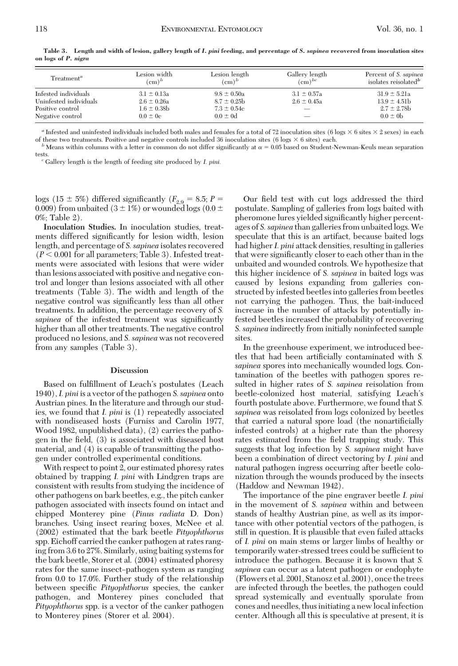| Treatment <sup>a</sup> | Lesion width     | Lesion length    | Gallery length           | Percent of S. sapinea            |
|------------------------|------------------|------------------|--------------------------|----------------------------------|
|                        | $(\text{cm})^b$  | $(cm)^b$         | $\text{cm})^{bc}$        | isolates reisolated <sup>b</sup> |
| Infested individuals   | $3.1 \pm 0.13a$  | $9.8 \pm 0.50a$  | $3.1 \pm 0.57a$          | $31.9 \pm 5.21a$                 |
| Uninfested individuals | $2.6 \pm 0.26a$  | $8.7 \pm 0.25$ b | $2.6 \pm 0.45a$          | $13.9 \pm 4.51$                  |
| Positive control       | $1.6 \pm 0.38$ b | $7.3 \pm 0.54c$  | $\overline{\phantom{a}}$ | $2.7 \pm 2.78$ b                 |
| Negative control       | $0.0 \pm 0$ c    | $0.0 \pm 0d$     |                          | $0.0 \pm 0b$                     |

**Table 3. Length and width of lesion, gallery length of** *I. pini* **feeding, and percentage of** *S. sapinea* **recovered from inoculation sites on logs of** *P. nigra*

<sup>a</sup> Infested and uninfested individuals included both males and females for a total of 72 inoculation sites (6 logs  $\times$  6 sites  $\times$  2 sexes) in each

of these two treatments. Positive and negative controls included 36 inoculation sites (6 logs  $\times$  6 sites) each.<br><sup>b</sup> Means within columns with a letter in common do not differ significantly at  $\alpha$  = 0.05 based on Studen

tests. *<sup>c</sup>* Gallery length is the length of feeding site produced by *I. pini.*

logs (15  $\pm$  5%) differed significantly ( $F_{2,9} = 8.5; P =$ 0.009) from unbaited (3  $\pm$  1%) or wounded logs (0.0  $\pm$ 0%; Table 2).

**Inoculation Studies.** In inoculation studies, treatments differed significantly for lesion width, lesion length, and percentage of *S. sapinea* isolates recovered  $(P< 0.001$  for all parameters; Table 3). Infested treatments were associated with lesions that were wider than lesions associated with positive and negative control and longer than lesions associated with all other treatments (Table 3). The width and length of the negative control was significantly less than all other treatments. In addition, the percentage recovery of *S.* sapinea of the infested treatment was significantly higher than all other treatments. The negative control produced no lesions, and *S. sapinea* was not recovered from any samples (Table 3).

#### **Discussion**

Based on fulfillment of Leach's postulates (Leach 1940),*I. pini* is a vector of the pathogen *S. sapinea* onto Austrian pines. In the literature and through our studies, we found that *I. pini* is (1) repeatedly associated with nondiseased hosts (Furniss and Carolin 1977, Wood 1982, unpublished data), (2) carries the pathogen in the field, (3) is associated with diseased host material, and (4) is capable of transmitting the pathogen under controlled experimental conditions.

With respect to point 2, our estimated phoresy rates obtained by trapping *I. pini* with Lindgren traps are consistent with results from studying the incidence of other pathogens on bark beetles, e.g., the pitch canker pathogen associated with insects found on intact and chipped Monterey pine (*Pinus radiata* D. Don) branches. Using insect rearing boxes, McNee et al. (2002) estimated that the bark beetle *Pityophthorus* spp. Eichoff carried the canker pathogen at rates ranging from 3.6 to 27%. Similarly, using baiting systems for the bark beetle, Storer et al. (2004) estimated phoresy rates for the same insect-pathogen system as ranging from 0.0 to 17.0%. Further study of the relationship between specific *Pityophthorus* species, the canker pathogen, and Monterey pines concluded that *Pityophthorus* spp. is a vector of the canker pathogen to Monterey pines (Storer et al. 2004).

Our field test with cut logs addressed the third postulate. Sampling of galleries from logs baited with pheromone lures yielded significantly higher percentages of *S. sapinea* than galleries from unbaited logs.We speculate that this is an artifact, because baited logs had higher *I. pini* attack densities, resulting in galleries that were significantly closer to each other than in the unbaited and wounded controls. We hypothesize that this higher incidence of *S. sapinea* in baited logs was caused by lesions expanding from galleries constructed by infested beetles into galleries from beetles not carrying the pathogen. Thus, the bait-induced increase in the number of attacks by potentially infested beetles increased the probability of recovering *S. sapinea* indirectly from initially noninfected sample sites.

In the greenhouse experiment, we introduced beetles that had been artificially contaminated with *S*. *sapinea* spores into mechanically wounded logs. Contamination of the beetles with pathogen spores resulted in higher rates of *S. sapinea* reisolation from beetle-colonized host material, satisfying Leach's fourth postulate above. Furthermore, we found that *S. sapinea* was reisolated from logs colonized by beetles that carried a natural spore load (the nonartificially infested controls) at a higher rate than the phoresy rates estimated from the field trapping study. This suggests that log infection by *S. sapinea* might have been a combination of direct vectoring by *I. pini* and natural pathogen ingress occurring after beetle colonization through the wounds produced by the insects (Haddow and Newman 1942).

The importance of the pine engraver beetle *I. pini* in the movement of *S. sapinea* within and between stands of healthy Austrian pine, as well as its importance with other potential vectors of the pathogen, is still in question. It is plausible that even failed attacks of *I. pini* on main stems or larger limbs of healthy or temporarily water-stressed trees could be sufficient to introduce the pathogen. Because it is known that *S. sapinea* can occur as a latent pathogen or endophyte (Flowers et al. 2001, Stanosz et al. 2001), once the trees are infected through the beetles, the pathogen could spread systemically and eventually sporulate from cones and needles, thus initiating a new local infection center. Although all this is speculative at present, it is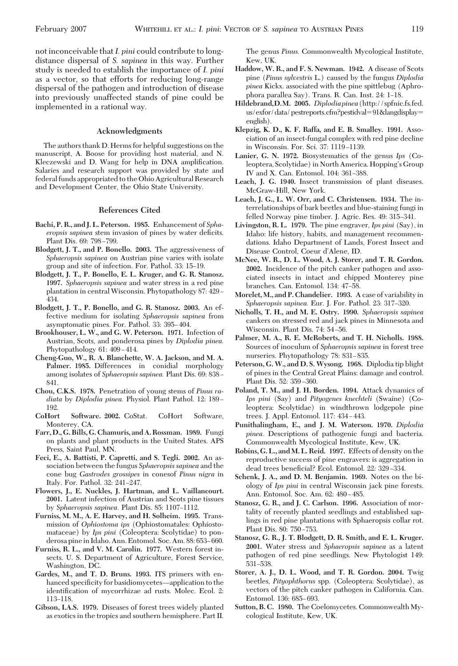not inconceivable that*I. pini* could contribute to longdistance dispersal of *S. sapinea* in this way. Further study is needed to establish the importance of *I. pini* as a vector, so that efforts for reducing long-range dispersal of the pathogen and introduction of disease into previously unaffected stands of pine could be implemented in a rational way.

#### **Acknowledgments**

The authors thank D. Herms for helpful suggestions on the manuscript, A. Boose for providing host material, and N. Kleczewski and D. Wang for help in DNA amplification. Salaries and research support was provided by state and federal funds appropriated to the Ohio Agricultural Research and Development Center, the Ohio State University.

#### **References Cited**

- **Bachi, P. R., and J. L. Peterson. 1985.** Enhancement of *Sphaeropsis sapinea* stem invasion of pines by water deficits. Plant Dis. 69: 798–799.
- **Blodgett, J. T., and P. Bonello. 2003.** The aggressiveness of *Sphaeropsis sapinea* on Austrian pine varies with isolate group and site of infection. For. Pathol. 33: 15–19.
- **Blodgett, J. T., P. Bonello, E. L. Kruger, and G. R. Stanosz. 1997.** *Sphaeropsis sapinea* and water stress in a red pine plantation in central Wisconsin. Phytopathology 87: 429 – 434.
- **Blodgett, J. T., P. Bonello, and G. R. Stanosz. 2003.** An effective medium for isolating *Sphaeropsis sapinea* from asymptomatic pines. For. Pathol. 33: 395–404.
- **Brookhouser, L. W., and G. W. Peterson. 1971.** Infection of Austrian, Scots, and ponderosa pines by *Diplodia pinea.* Phytopathology  $61: 409-414$ .
- **Cheng-Guo, W., R. A. Blanchette, W. A. Jackson, and M. A. Palmer. 1985.** Differences in conidial morphology among isolates of *Sphaeropsis sapinea*. Plant Dis. 69: 838 – 841.
- **Chou, C.K.S. 1978.** Penetration of young stems of *Pinus radiata* by *Diplodia pinea*. Physiol. Plant Pathol. 12: 189– 192.
- **CoHort Software. 2002.** CoStat. CoHort Software, Monterey, CA.
- **Farr, D., G. Bills, G. Chamuris, and A. Rossman. 1989.** Fungi on plants and plant products in the United States. APS Press, Saint Paul, MN.
- **Feci, E., A. Battisti, P. Capretti, and S. Tegli. 2002.** An association between the fungus *Sphaeropsis sapinea* and the cone bug *Gastrodes grossipes* in conesof *Pinus nigra* in Italy. For. Pathol. 32: 241–247.
- **Flowers, J., E. Nuckles, J. Hartman, and L. Vaillancourt. 2001.** Latent infection of Austrian and Scots pine tissues by *Sphaeropsis sapinea*. Plant Dis. 85: 1107–1112.
- **Furniss, M. M., A. E. Harvey, and H. Solheim. 1995.** Transmission of *Ophiostoma ips* (Ophiostomatales: Ophiostomataceae) by *Ips pini* (Coleoptera: Scolytidae) to ponderosa pine in Idaho. Ann. Entomol. Soc. Am. 88: 653–660.
- **Furniss, R. L., and V. M. Carolin. 1977.** Western forest insects. U. S. Department of Agriculture, Forest Service, Washington, DC.
- **Gardes, M., and T. D. Bruns. 1993.** ITS primers with enhanced specificity for basidiomycetes—application to the identification of mycorrhizae ad rusts. Molec. Ecol. 2: 113–118.
- **Gibson, I.A.S. 1979.** Diseases of forest trees widely planted as exotics in the tropics and southern hemisphere. Part II.

The genus *Pinus.* Commonwealth Mycological Institute, Kew, UK.

- **Haddow, W. R., and F. S. Newman. 1942.** A disease of Scots pine (*Pinus sylvestris* L.) caused by the fungus *Diplodia pinea* Kickx. associated with the pine spittlebug (Aphrophora parallea Say). Trans. R. Can. Inst. 24: 1-18.
- **Hildebrand,D.M. 2005.** *Diplodiapinea*(http://spfnic.fs.fed. us/exfor/data/pestreports.cfm?pestidval=91&langdisplay= english).
- **Klepzig, K. D., K. F. Raffa, and E. B. Smalley. 1991.** Association of an insect-fungal complex with red pine decline in Wisconsin. For. Sci. 37: 1119-1139.
- **Lanier, G. N. 1972.** Biosystematics of the genus *Ips* (Coleoptera, Scolytidae) in North America. Hopping's Group IV and X. Can. Entomol. 104: 361-388.
- **Leach, J. G. 1940.** Insect transmission of plant diseases. McGraw-Hill, New York.
- **Leach, J. G., L. W. Orr, and C. Christensen. 1934.** The interrelationships of bark beetles and blue-staining fungi in felled Norway pine timber. J. Agric. Res. 49: 315-341.
- **Livingston, R. L. 1979.** The pine engraver, *Ips pini* (Say), in Idaho: life history, habits, and management recommendations. Idaho Department of Lands, Forest Insect and Disease Control, Coeur d'Alene, ID.
- **McNee, W. R., D. L. Wood, A. J. Storer, and T. R. Gordon. 2002.** Incidence of the pitch canker pathogen and associated insects in intact and chipped Monterey pine branches. Can. Entomol. 134: 47-58.
- **Morelet, M., and P. Chandelier. 1993.** A case of variability in Sphaeropsis sapinea. Eur. J. For. Pathol. 23: 317-320.
- **Nicholls, T. H., and M. E. Ostry. 1990.** *Sphaeropsis sapinea* cankers on stressed red and jack pines in Minnesota and Wisconsin. Plant Dis. 74: 54-56.
- **Palmer, M. A., R. E. McRoberts, and T. H. Nicholls. 1988.** Sources of inoculum of *Sphaeropsis sapinea* in forest tree nurseries. Phytopathology 78: 831–835.
- **Peterson, G. W., and D. S. Wysong. 1968.** Diplodia tip blight of pines in the Central Great Plains: damage and control. Plant Dis. 52: 359-360.
- **Poland, T. M., and J. H. Borden. 1994.** Attack dynamics of *Ips pini* (Say) and *Pityogenes knechteli* (Swaine) (Coleoptera: Scolytidae) in windthrown lodgepole pine trees. J. Appl. Entomol. 117: 434-443.
- **Punithalingham, E., and J. M. Waterson. 1970.** *Diplodia pinea.* Descriptions of pathogenic fungi and bacteria. Commonwealth Mycological Institute, Kew, UK.
- **Robins, G. L., and M. L. Reid. 1997.** Effects of density on the reproductive success of pine engravers: is aggregation in dead trees beneficial? Ecol. Entomol. 22: 329-334.
- **Schenk, J. A., and D. M. Benjamin. 1969.** Notes on the biology of *Ips pini* in central Wisconsin jack pine forests. Ann. Entomol. Soc. Am. 62: 480-485.
- **Stanosz, G. R., and J. C. Carlson. 1996.** Association of mortality of recently planted seedlings and established saplings in red pine plantations with Sphaeropsis collar rot. Plant Dis. 80: 750-753.
- **Stanosz, G. R., J. T. Blodgett, D. R. Smith, and E. L. Kruger. 2001.** Water stress and *Sphaeropsis sapinea* as a latent pathogen of red pine seedlings. New Phytologist 149: 531-538.
- **Storer, A. J., D. L. Wood, and T. R. Gordon. 2004.** Twig beetles, *Pityophthorus* spp. (Coleoptera: Scolytidae), as vectors of the pitch canker pathogen in California. Can. Entomol. 136: 685–693.
- **Sutton, B. C. 1980.** The Coelomycetes. Commonwealth Mycological Institute, Kew, UK.